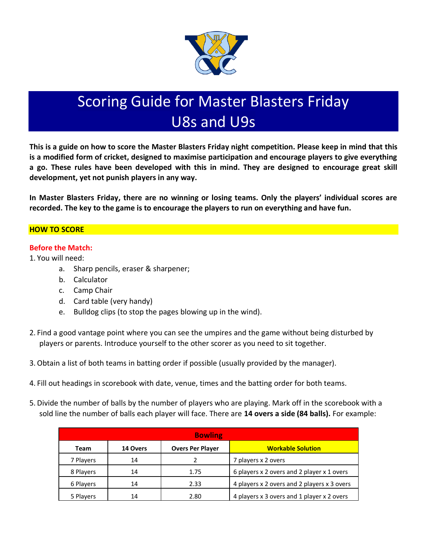

# Scoring Guide for Master Blasters Friday U8s and U9s

**This is a guide on how to score the Master Blasters Friday night competition. Please keep in mind that this is a modified form of cricket, designed to maximise participation and encourage players to give everything a go. These rules have been developed with this in mind. They are designed to encourage great skill development, yet not punish players in any way.** 

**In Master Blasters Friday, there are no winning or losing teams. Only the players' individual scores are recorded. The key to the game is to encourage the players to run on everything and have fun.** 

## **HOW TO SCORE**

## **Before the Match:**

1. You will need:

- a. Sharp pencils, eraser & sharpener;
- b. Calculator
- c. Camp Chair
- d. Card table (very handy)
- e. Bulldog clips (to stop the pages blowing up in the wind).
- 2. Find a good vantage point where you can see the umpires and the game without being disturbed by players or parents. Introduce yourself to the other scorer as you need to sit together.
- 3.Obtain a list of both teams in batting order if possible (usually provided by the manager).
- 4. Fill out headings in scorebook with date, venue, times and the batting order for both teams.
- 5. Divide the number of balls by the number of players who are playing. Mark off in the scorebook with a sold line the number of balls each player will face. There are **14 overs a side (84 balls).** For example:

| <b>Bowling</b> |          |                         |                                             |  |  |
|----------------|----------|-------------------------|---------------------------------------------|--|--|
| Team           | 14 Overs | <b>Overs Per Player</b> | <b>Workable Solution</b>                    |  |  |
| 7 Players      | 14       |                         | 7 players x 2 overs                         |  |  |
| 8 Players      | 14       | 1.75                    | 6 players x 2 overs and 2 player x 1 overs  |  |  |
| 6 Players      | 14       | 2.33                    | 4 players x 2 overs and 2 players x 3 overs |  |  |
| 5 Players      | 14       | 2.80                    | 4 players x 3 overs and 1 player x 2 overs  |  |  |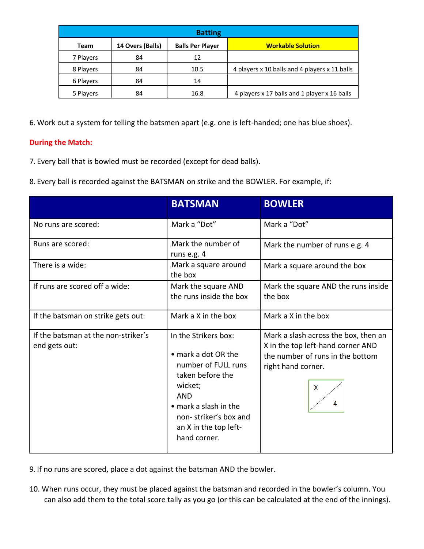| <b>Batting</b> |                  |                         |                                               |  |  |
|----------------|------------------|-------------------------|-----------------------------------------------|--|--|
| Team           | 14 Overs (Balls) | <b>Balls Per Player</b> | <b>Workable Solution</b>                      |  |  |
| 7 Players      | 84               | 12                      |                                               |  |  |
| 8 Players      | 84               | 10.5                    | 4 players x 10 balls and 4 players x 11 balls |  |  |
| 6 Players      | 84               | 14                      |                                               |  |  |
| 5 Players      | 84               | 16.8                    | 4 players x 17 balls and 1 player x 16 balls  |  |  |

6. Work out a system for telling the batsmen apart (e.g. one is left-handed; one has blue shoes).

## **During the Match:**

7. Every ball that is bowled must be recorded (except for dead balls).

8. Every ball is recorded against the BATSMAN on strike and the BOWLER. For example, if:

|                                                      | <b>BATSMAN</b>                                                                                                                                                                                             | <b>BOWLER</b>                                                                                                                                  |  |
|------------------------------------------------------|------------------------------------------------------------------------------------------------------------------------------------------------------------------------------------------------------------|------------------------------------------------------------------------------------------------------------------------------------------------|--|
| No runs are scored:                                  | Mark a "Dot"                                                                                                                                                                                               | Mark a "Dot"                                                                                                                                   |  |
| Runs are scored:                                     | Mark the number of<br>runs e.g. 4                                                                                                                                                                          | Mark the number of runs e.g. 4                                                                                                                 |  |
| There is a wide:                                     | Mark a square around<br>the box                                                                                                                                                                            | Mark a square around the box                                                                                                                   |  |
| If runs are scored off a wide:                       | Mark the square AND<br>the runs inside the box                                                                                                                                                             | Mark the square AND the runs inside<br>the box                                                                                                 |  |
| If the batsman on strike gets out:                   | Mark a X in the box                                                                                                                                                                                        | Mark a X in the box                                                                                                                            |  |
| If the batsman at the non-striker's<br>end gets out: | In the Strikers box:<br>• mark a dot OR the<br>number of FULL runs<br>taken before the<br>wicket;<br><b>AND</b><br>• mark a slash in the<br>non-striker's box and<br>an X in the top left-<br>hand corner. | Mark a slash across the box, then an<br>X in the top left-hand corner AND<br>the number of runs in the bottom<br>right hand corner.<br>X<br>Δ. |  |

- 9. If no runs are scored, place a dot against the batsman AND the bowler.
- 10. When runs occur, they must be placed against the batsman and recorded in the bowler's column. You can also add them to the total score tally as you go (or this can be calculated at the end of the innings).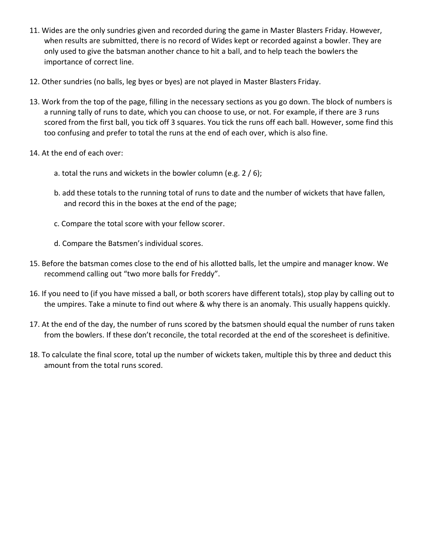- 11. Wides are the only sundries given and recorded during the game in Master Blasters Friday. However, when results are submitted, there is no record of Wides kept or recorded against a bowler. They are only used to give the batsman another chance to hit a ball, and to help teach the bowlers the importance of correct line.
- 12. Other sundries (no balls, leg byes or byes) are not played in Master Blasters Friday.
- 13. Work from the top of the page, filling in the necessary sections as you go down. The block of numbers is a running tally of runs to date, which you can choose to use, or not. For example, if there are 3 runs scored from the first ball, you tick off 3 squares. You tick the runs off each ball. However, some find this too confusing and prefer to total the runs at the end of each over, which is also fine.
- 14. At the end of each over:
	- a. total the runs and wickets in the bowler column (e.g. 2 / 6);
	- b. add these totals to the running total of runs to date and the number of wickets that have fallen, and record this in the boxes at the end of the page;
	- c. Compare the total score with your fellow scorer.
	- d. Compare the Batsmen's individual scores.
- 15. Before the batsman comes close to the end of his allotted balls, let the umpire and manager know. We recommend calling out "two more balls for Freddy".
- 16. If you need to (if you have missed a ball, or both scorers have different totals), stop play by calling out to the umpires. Take a minute to find out where & why there is an anomaly. This usually happens quickly.
- 17. At the end of the day, the number of runs scored by the batsmen should equal the number of runs taken from the bowlers. If these don't reconcile, the total recorded at the end of the scoresheet is definitive.
- 18. To calculate the final score, total up the number of wickets taken, multiple this by three and deduct this amount from the total runs scored.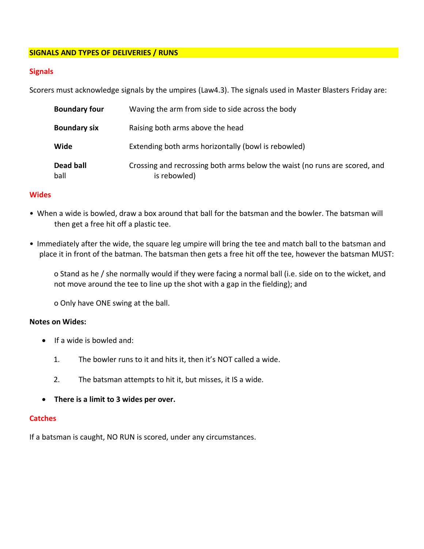#### **SIGNALS AND TYPES OF DELIVERIES / RUNS**

#### **Signals**

Scorers must acknowledge signals by the umpires (Law4.3). The signals used in Master Blasters Friday are:

| <b>Boundary four</b> | Waving the arm from side to side across the body                                           |  |  |
|----------------------|--------------------------------------------------------------------------------------------|--|--|
| <b>Boundary six</b>  | Raising both arms above the head                                                           |  |  |
| Wide                 | Extending both arms horizontally (bowl is rebowled)                                        |  |  |
| Dead ball<br>ball    | Crossing and recrossing both arms below the waist (no runs are scored, and<br>is rebowled) |  |  |

#### **Wides**

- When a wide is bowled, draw a box around that ball for the batsman and the bowler. The batsman will then get a free hit off a plastic tee.
- Immediately after the wide, the square leg umpire will bring the tee and match ball to the batsman and place it in front of the batman. The batsman then gets a free hit off the tee, however the batsman MUST:

o Stand as he / she normally would if they were facing a normal ball (i.e. side on to the wicket, and not move around the tee to line up the shot with a gap in the fielding); and

o Only have ONE swing at the ball.

#### **Notes on Wides:**

- If a wide is bowled and:
	- 1. The bowler runs to it and hits it, then it's NOT called a wide.
	- 2. The batsman attempts to hit it, but misses, it IS a wide.
- **There is a limit to 3 wides per over.**

#### **Catches**

If a batsman is caught, NO RUN is scored, under any circumstances.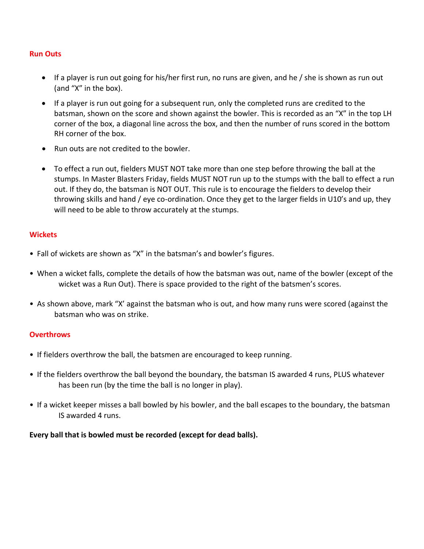#### **Run Outs**

- If a player is run out going for his/her first run, no runs are given, and he / she is shown as run out (and "X" in the box).
- If a player is run out going for a subsequent run, only the completed runs are credited to the batsman, shown on the score and shown against the bowler. This is recorded as an "X" in the top LH corner of the box, a diagonal line across the box, and then the number of runs scored in the bottom RH corner of the box.
- Run outs are not credited to the bowler.
- To effect a run out, fielders MUST NOT take more than one step before throwing the ball at the stumps. In Master Blasters Friday, fields MUST NOT run up to the stumps with the ball to effect a run out. If they do, the batsman is NOT OUT. This rule is to encourage the fielders to develop their throwing skills and hand / eye co-ordination. Once they get to the larger fields in U10's and up, they will need to be able to throw accurately at the stumps.

#### **Wickets**

- Fall of wickets are shown as "X" in the batsman's and bowler's figures.
- When a wicket falls, complete the details of how the batsman was out, name of the bowler (except of the wicket was a Run Out). There is space provided to the right of the batsmen's scores.
- As shown above, mark "X' against the batsman who is out, and how many runs were scored (against the batsman who was on strike.

#### **Overthrows**

- If fielders overthrow the ball, the batsmen are encouraged to keep running.
- If the fielders overthrow the ball beyond the boundary, the batsman IS awarded 4 runs, PLUS whatever has been run (by the time the ball is no longer in play).
- If a wicket keeper misses a ball bowled by his bowler, and the ball escapes to the boundary, the batsman IS awarded 4 runs.

**Every ball that is bowled must be recorded (except for dead balls).**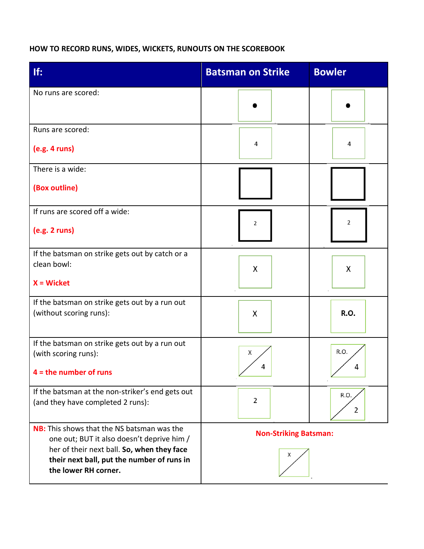# **HOW TO RECORD RUNS, WIDES, WICKETS, RUNOUTS ON THE SCOREBOOK**

| If:                                                                                             | <b>Batsman on Strike</b>     | <b>Bowler</b> |
|-------------------------------------------------------------------------------------------------|------------------------------|---------------|
| No runs are scored:                                                                             |                              |               |
| Runs are scored:                                                                                |                              |               |
| (e.g. 4 runs)                                                                                   | 4                            | 4             |
| There is a wide:                                                                                |                              |               |
| (Box outline)                                                                                   |                              |               |
| If runs are scored off a wide:                                                                  | 2                            | 2             |
| (e.g. 2 runs)                                                                                   |                              |               |
| If the batsman on strike gets out by catch or a<br>clean bowl:                                  |                              |               |
| $X = Wicket$                                                                                    | X                            | X             |
| If the batsman on strike gets out by a run out<br>(without scoring runs):                       | X                            | <b>R.O.</b>   |
|                                                                                                 |                              |               |
| If the batsman on strike gets out by a run out<br>(with scoring runs):                          | х                            | R.O.          |
| $4 =$ the number of runs                                                                        | 4                            | 4             |
| If the batsman at the non-striker's end gets out<br>(and they have completed 2 runs):           | $\overline{2}$               | R.O.          |
|                                                                                                 |                              | 2             |
| <b>NB:</b> This shows that the NS batsman was the<br>one out; BUT it also doesn't deprive him / | <b>Non-Striking Batsman:</b> |               |
| her of their next ball. So, when they face<br>their next ball, put the number of runs in        | x                            |               |
| the lower RH corner.                                                                            |                              |               |